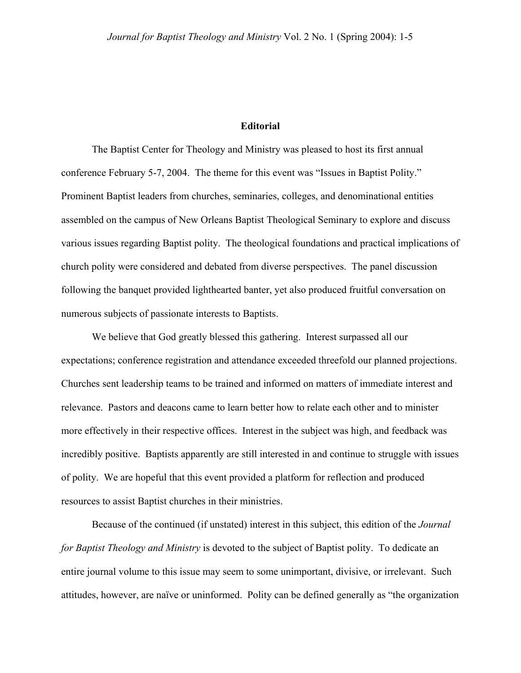## **Editorial**

The Baptist Center for Theology and Ministry was pleased to host its first annual conference February 5-7, 2004. The theme for this event was "Issues in Baptist Polity." Prominent Baptist leaders from churches, seminaries, colleges, and denominational entities assembled on the campus of New Orleans Baptist Theological Seminary to explore and discuss various issues regarding Baptist polity. The theological foundations and practical implications of church polity were considered and debated from diverse perspectives. The panel discussion following the banquet provided lighthearted banter, yet also produced fruitful conversation on numerous subjects of passionate interests to Baptists.

We believe that God greatly blessed this gathering. Interest surpassed all our expectations; conference registration and attendance exceeded threefold our planned projections. Churches sent leadership teams to be trained and informed on matters of immediate interest and relevance. Pastors and deacons came to learn better how to relate each other and to minister more effectively in their respective offices. Interest in the subject was high, and feedback was incredibly positive. Baptists apparently are still interested in and continue to struggle with issues of polity. We are hopeful that this event provided a platform for reflection and produced resources to assist Baptist churches in their ministries.

Because of the continued (if unstated) interest in this subject, this edition of the *Journal for Baptist Theology and Ministry* is devoted to the subject of Baptist polity. To dedicate an entire journal volume to this issue may seem to some unimportant, divisive, or irrelevant. Such attitudes, however, are naïve or uninformed. Polity can be defined generally as "the organization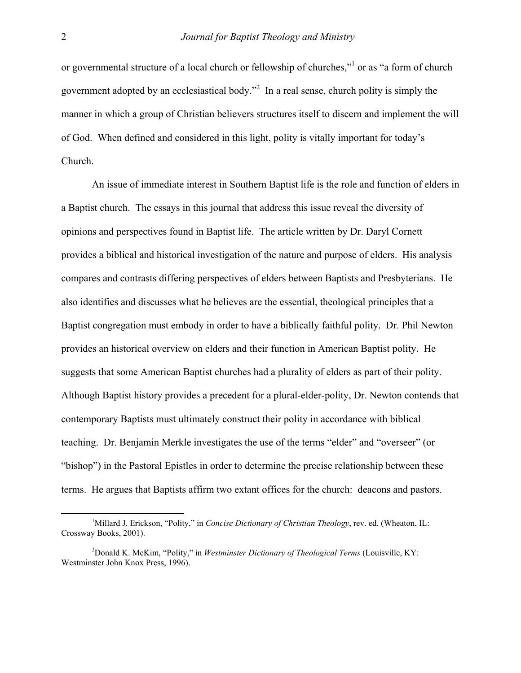or governmental structure of a local church or fellowship of churches,"<sup>[1](#page-1-0)</sup> or as "a form of church government adopted by an ecclesiastical body."<sup>[2](#page-1-1)</sup> In a real sense, church polity is simply the manner in which a group of Christian believers structures itself to discern and implement the will of God. When defined and considered in this light, polity is vitally important for today's Church.

An issue of immediate interest in Southern Baptist life is the role and function of elders in a Baptist church. The essays in this journal that address this issue reveal the diversity of opinions and perspectives found in Baptist life. The article written by Dr. Daryl Cornett provides a biblical and historical investigation of the nature and purpose of elders. His analysis compares and contrasts differing perspectives of elders between Baptists and Presbyterians. He also identifies and discusses what he believes are the essential, theological principles that a Baptist congregation must embody in order to have a biblically faithful polity. Dr. Phil Newton provides an historical overview on elders and their function in American Baptist polity. He suggests that some American Baptist churches had a plurality of elders as part of their polity. Although Baptist history provides a precedent for a plural-elder-polity, Dr. Newton contends that contemporary Baptists must ultimately construct their polity in accordance with biblical teaching. Dr. Benjamin Merkle investigates the use of the terms "elder" and "overseer" (or "bishop") in the Pastoral Epistles in order to determine the precise relationship between these terms. He argues that Baptists affirm two extant offices for the church: deacons and pastors.

<span id="page-1-0"></span> $\frac{1}{1}$ <sup>1</sup>Millard J. Erickson, "Polity," in *Concise Dictionary of Christian Theology*, rev. ed. (Wheaton, IL: Crossway Books, 2001).

<span id="page-1-1"></span><sup>2</sup> Donald K. McKim, "Polity," in *Westminster Dictionary of Theological Terms* (Louisville, KY: Westminster John Knox Press, 1996).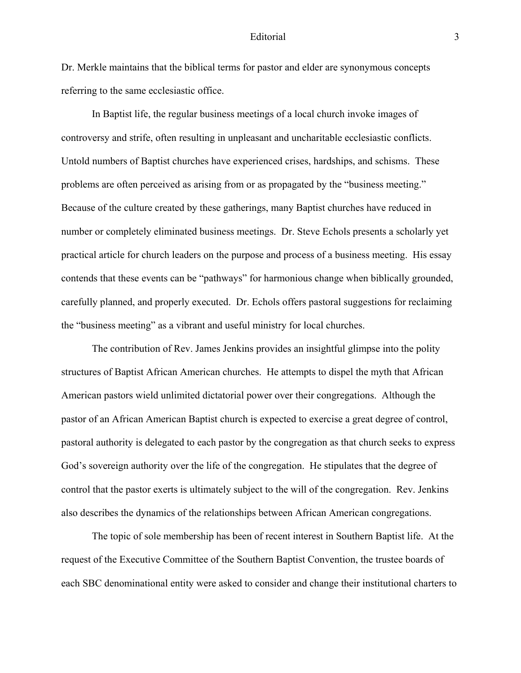## Editorial 3

Dr. Merkle maintains that the biblical terms for pastor and elder are synonymous concepts referring to the same ecclesiastic office.

In Baptist life, the regular business meetings of a local church invoke images of controversy and strife, often resulting in unpleasant and uncharitable ecclesiastic conflicts. Untold numbers of Baptist churches have experienced crises, hardships, and schisms. These problems are often perceived as arising from or as propagated by the "business meeting." Because of the culture created by these gatherings, many Baptist churches have reduced in number or completely eliminated business meetings. Dr. Steve Echols presents a scholarly yet practical article for church leaders on the purpose and process of a business meeting. His essay contends that these events can be "pathways" for harmonious change when biblically grounded, carefully planned, and properly executed. Dr. Echols offers pastoral suggestions for reclaiming the "business meeting" as a vibrant and useful ministry for local churches.

The contribution of Rev. James Jenkins provides an insightful glimpse into the polity structures of Baptist African American churches. He attempts to dispel the myth that African American pastors wield unlimited dictatorial power over their congregations. Although the pastor of an African American Baptist church is expected to exercise a great degree of control, pastoral authority is delegated to each pastor by the congregation as that church seeks to express God's sovereign authority over the life of the congregation. He stipulates that the degree of control that the pastor exerts is ultimately subject to the will of the congregation. Rev. Jenkins also describes the dynamics of the relationships between African American congregations.

The topic of sole membership has been of recent interest in Southern Baptist life. At the request of the Executive Committee of the Southern Baptist Convention, the trustee boards of each SBC denominational entity were asked to consider and change their institutional charters to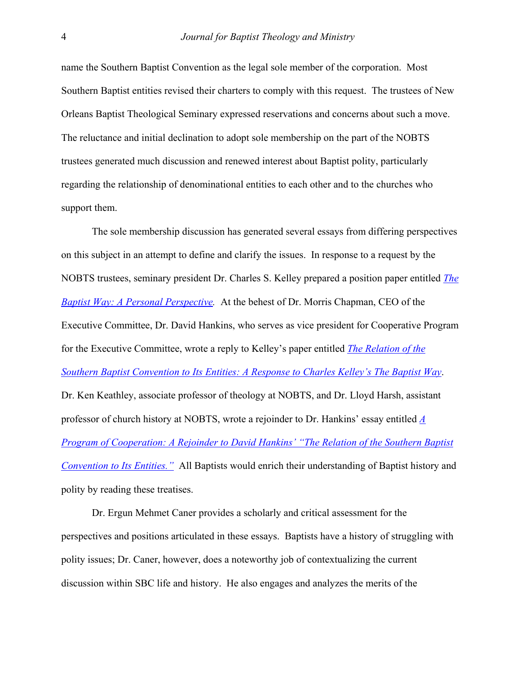name the Southern Baptist Convention as the legal sole member of the corporation. Most Southern Baptist entities revised their charters to comply with this request. The trustees of New Orleans Baptist Theological Seminary expressed reservations and concerns about such a move. The reluctance and initial declination to adopt sole membership on the part of the NOBTS trustees generated much discussion and renewed interest about Baptist polity, particularly regarding the relationship of denominational entities to each other and to the churches who support them.

The sole membership discussion has generated several essays from differing perspectives on this subject in an attempt to define and clarify the issues. In response to a request by the NOBTS trustees, seminary president Dr. Charles S. Kelley prepared a position paper entitled *[The](http://www.baptistcenter.com/Papers, etc/Articles and Essays/Kelley - The Baptist Way.pdf)  [Baptist Way: A Personal Perspective](http://www.baptistcenter.com/Papers, etc/Articles and Essays/Kelley - The Baptist Way.pdf).* At the behest of Dr. Morris Chapman, CEO of the Executive Committee, Dr. David Hankins, who serves as vice president for Cooperative Program for the Executive Committee, wrote a reply to Kelley's paper entitled *[The Relation of the](http://www.baptist2baptist.net/b2barticle.asp?ID=275)  [Southern Baptist Convention to Its Entities: A Response to Charles Kelley's The Baptist Way](http://www.baptist2baptist.net/b2barticle.asp?ID=275)*. Dr. Ken Keathley, associate professor of theology at NOBTS, and Dr. Lloyd Harsh, assistant professor of church history at NOBTS, wrote a rejoinder to Dr. Hankins' essay entitled *[A](http://www.baptistcenter.com/Papers, etc/Articles and Essays/Harsch and Keathley - A Program of Cooperation.pdf)  [Program of Cooperation: A Rejoinder to David Hankins' "The Relation of the Southern Baptist](http://www.baptistcenter.com/Papers, etc/Articles and Essays/Harsch and Keathley - A Program of Cooperation.pdf)  [Convention to Its Entities."](http://www.baptistcenter.com/Papers, etc/Articles and Essays/Harsch and Keathley - A Program of Cooperation.pdf)* All Baptists would enrich their understanding of Baptist history and polity by reading these treatises.

Dr. Ergun Mehmet Caner provides a scholarly and critical assessment for the perspectives and positions articulated in these essays. Baptists have a history of struggling with polity issues; Dr. Caner, however, does a noteworthy job of contextualizing the current discussion within SBC life and history. He also engages and analyzes the merits of the